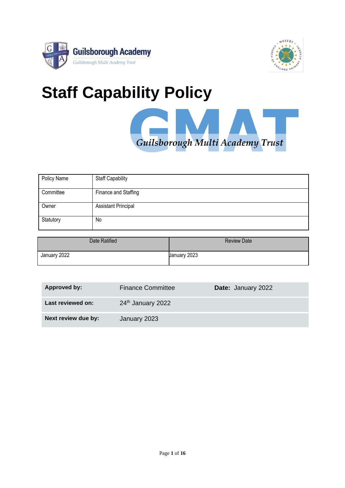



# **Staff Capability Policy**

Guilsborough Multi Academy Trust

| Policy Name | <b>Staff Capability</b>    |
|-------------|----------------------------|
| Committee   | Finance and Staffing       |
| Owner       | <b>Assistant Principal</b> |
| Statutory   | No                         |

| Date Ratified | <b>Review Date</b> |
|---------------|--------------------|
| January 2022  | January 2023       |

| Approved by:        | <b>Finance Committee</b> | Date: January 2022 |
|---------------------|--------------------------|--------------------|
| Last reviewed on:   | 24th January 2022        |                    |
| Next review due by: | January 2023             |                    |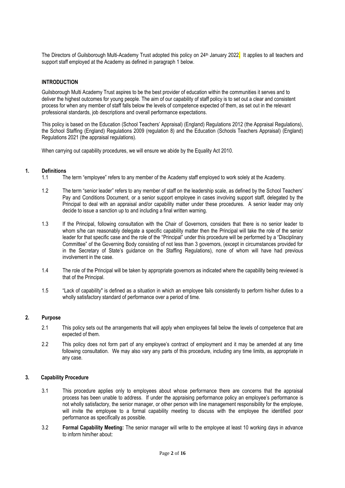The Directors of Guilsborough Multi-Academy Trust adopted this policy on 24<sup>th</sup> January 2022. It applies to all teachers and support staff employed at the Academy as defined in paragraph 1 below.

### **INTRODUCTION**

Guilsborough Multi Academy Trust aspires to be the best provider of education within the communities it serves and to deliver the highest outcomes for young people. The aim of our capability of staff policy is to set out a clear and consistent process for when any member of staff falls below the levels of competence expected of them, as set out in the relevant professional standards, job descriptions and overall performance expectations.

This policy is based on the Education (School Teachers' Appraisal) (England) Regulations 2012 (the Appraisal Regulations), the School Staffing (England) Regulations 2009 (regulation 8) and the Education (Schools Teachers Appraisal) (England) Regulations 2021 (the appraisal regulations).

When carrying out capability procedures, we will ensure we abide by the Equality Act 2010.

### **1. Definitions**

- 1.1 The term "employee" refers to any member of the Academy staff employed to work solely at the Academy.
- 1.2 The term "senior leader" refers to any member of staff on the leadership scale, as defined by the School Teachers' Pay and Conditions Document, or a senior support employee in cases involving support staff, delegated by the Principal to deal with an appraisal and/or capability matter under these procedures. A senior leader may only decide to issue a sanction up to and including a final written warning.
- 1.3 If the Principal, following consultation with the Chair of Governors, considers that there is no senior leader to whom s/he can reasonably delegate a specific capability matter then the Principal will take the role of the senior leader for that specific case and the role of the "Principal" under this procedure will be performed by a "Disciplinary Committee" of the Governing Body consisting of not less than 3 governors, (except in circumstances provided for in the Secretary of State's guidance on the Staffing Regulations), none of whom will have had previous involvement in the case.
- 1.4 The role of the Principal will be taken by appropriate governors as indicated where the capability being reviewed is that of the Principal.
- 1.5 "Lack of capability" is defined as a situation in which an employee fails consistently to perform his/her duties to a wholly satisfactory standard of performance over a period of time.

### **2. Purpose**

- 2.1 This policy sets out the arrangements that will apply when employees fall below the levels of competence that are expected of them.
- 2.2 This policy does not form part of any employee's contract of employment and it may be amended at any time following consultation. We may also vary any parts of this procedure, including any time limits, as appropriate in any case.

# **3. Capability Procedure**

- 3.1 This procedure applies only to employees about whose performance there are concerns that the appraisal process has been unable to address. If under the appraising performance policy an employee's performance is not wholly satisfactory, the senior manager, or other person with line management responsibility for the employee, will invite the employee to a formal capability meeting to discuss with the employee the identified poor performance as specifically as possible.
- 3.2 **Formal Capability Meeting:** The senior manager will write to the employee at least 10 working days in advance to inform him/her about: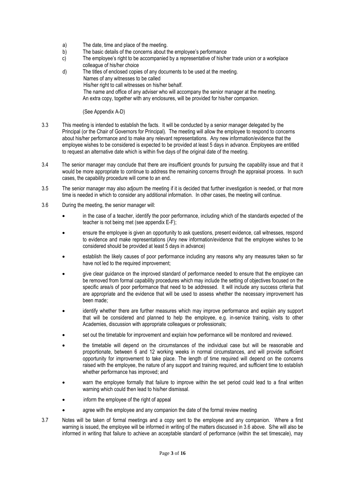- a) The date, time and place of the meeting.
- b) The basic details of the concerns about the employee's performance
- c) The employee's right to be accompanied by a representative of his/her trade union or a workplace colleague of his/her choice
- d) The titles of enclosed copies of any documents to be used at the meeting. Names of any witnesses to be called His/her right to call witnesses on his/her behalf. The name and office of any adviser who will accompany the senior manager at the meeting. An extra copy, together with any enclosures, will be provided for his/her companion.

(See Appendix A-D)

- 3.3 This meeting is intended to establish the facts. It will be conducted by a senior manager delegated by the Principal (or the Chair of Governors for Principal)*.* The meeting will allow the employee to respond to concerns about his/her performance and to make any relevant representations. Any new information/evidence that the employee wishes to be considered is expected to be provided at least 5 days in advance. Employees are entitled to request an alternative date which is within five days of the original date of the meeting.
- 3.4 The senior manager may conclude that there are insufficient grounds for pursuing the capability issue and that it would be more appropriate to continue to address the remaining concerns through the appraisal process. In such cases, the capability procedure will come to an end.
- 3.5 The senior manager may also adjourn the meeting if it is decided that further investigation is needed, or that more time is needed in which to consider any additional information. In other cases, the meeting will continue.
- 3.6 During the meeting, the senior manager will:
	- in the case of a teacher, identify the poor performance, including which of the standards expected of the teacher is not being met (see appendix E-F);
	- ensure the employee is given an opportunity to ask questions, present evidence, call witnesses, respond to evidence and make representations (Any new information/evidence that the employee wishes to be considered should be provided at least 5 days in advance)
	- establish the likely causes of poor performance including any reasons why any measures taken so far have not led to the required improvement;
	- give clear guidance on the improved standard of performance needed to ensure that the employee can be removed from formal capability procedures which may include the setting of objectives focused on the specific area/s of poor performance that need to be addressed. It will include any success criteria that are appropriate and the evidence that will be used to assess whether the necessary improvement has been made;
	- identify whether there are further measures which may improve performance and explain any support that will be considered and planned to help the employee, e.g. in-service training, visits to other Academies, discussion with appropriate colleagues or professionals;
	- set out the timetable for improvement and explain how performance will be monitored and reviewed.
	- the timetable will depend on the circumstances of the individual case but will be reasonable and proportionate, between 6 and 12 working weeks in normal circumstances, and will provide sufficient opportunity for improvement to take place. The length of time required will depend on the concerns raised with the employee, the nature of any support and training required, and sufficient time to establish whether performance has improved; and
	- warn the employee formally that failure to improve within the set period could lead to a final written warning which could then lead to his/her dismissal.
	- inform the employee of the right of appeal
	- agree with the employee and any companion the date of the formal review meeting
- 3.7 Notes will be taken of formal meetings and a copy sent to the employee and any companion. Where a first warning is issued, the employee will be informed in writing of the matters discussed in 3.6 above. S/he will also be informed in writing that failure to achieve an acceptable standard of performance (within the set timescale), may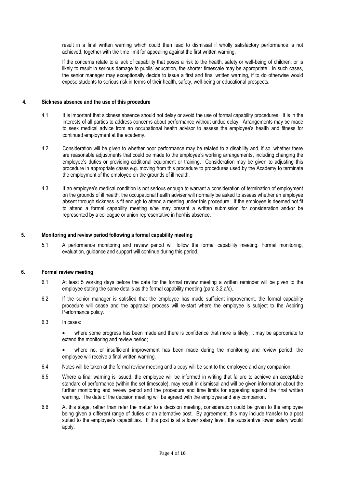result in a final written warning which could then lead to dismissal if wholly satisfactory performance is not achieved, together with the time limit for appealing against the first written warning.

If the concerns relate to a lack of capability that poses a risk to the health, safety or well-being of children, or is likely to result in serious damage to pupils' education, the shorter timescale may be appropriate. In such cases, the senior manager may exceptionally decide to issue a first and final written warning, if to do otherwise would expose students to serious risk in terms of their health, safety, well-being or educational prospects.

### **4. Sickness absence and the use of this procedure**

- 4.1 It is important that sickness absence should not delay or avoid the use of formal capability procedures. It is in the interests of all parties to address concerns about performance without undue delay. Arrangements may be made to seek medical advice from an occupational health advisor to assess the employee's health and fitness for continued employment at the academy.
- 4.2 Consideration will be given to whether poor performance may be related to a disability and, if so, whether there are reasonable adjustments that could be made to the employee's working arrangements, including changing the employee's duties or providing additional equipment or training. Consideration may be given to adjusting this procedure in appropriate cases e.g. moving from this procedure to procedures used by the Academy to terminate the employment of the employee on the grounds of ill health.
- 4.3 If an employee's medical condition is not serious enough to warrant a consideration of termination of employment on the grounds of ill health, the occupational health adviser will normally be asked to assess whether an employee absent through sickness is fit enough to attend a meeting under this procedure. If the employee is deemed not fit to attend a formal capability meeting s/he may present a written submission for consideration and/or be represented by a colleague or union representative in her/his absence.

### **5. Monitoring and review period following a formal capability meeting**

5.1 A performance monitoring and review period will follow the formal capability meeting. Formal monitoring, evaluation, guidance and support will continue during this period.

### **6. Formal review meeting**

- 6.1 At least 5 working days before the date for the formal review meeting a written reminder will be given to the employee stating the same details as the formal capability meeting (para 3.2 a/c).
- 6.2 If the senior manager is satisfied that the employee has made sufficient improvement, the formal capability procedure will cease and the appraisal process will re-start where the employee is subject to the Aspiring Performance policy.
- 6.3 In cases:

• where some progress has been made and there is confidence that more is likely, it may be appropriate to extend the monitoring and review period;

• where no, or insufficient improvement has been made during the monitoring and review period, the employee will receive a final written warning.

- 6.4 Notes will be taken at the formal review meeting and a copy will be sent to the employee and any companion.
- 6.5 Where a final warning is issued, the employee will be informed in writing that failure to achieve an acceptable standard of performance (within the set timescale), may result in dismissal and will be given information about the further monitoring and review period and the procedure and time limits for appealing against the final written warning. The date of the decision meeting will be agreed with the employee and any companion.
- 6.6 At this stage, rather than refer the matter to a decision meeting, consideration could be given to the employee being given a different range of duties or an alternative post. By agreement, this may include transfer to a post suited to the employee's capabilities. If this post is at a lower salary level, the substantive lower salary would apply.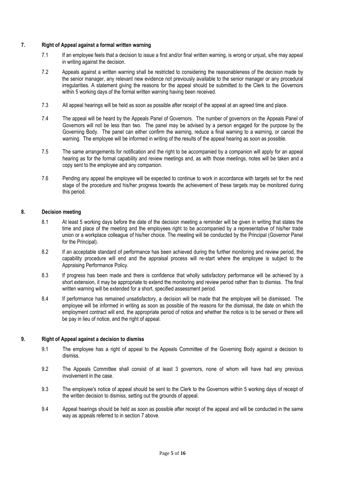### **7. Right of Appeal against a formal written warning**

- 7.1 If an employee feels that a decision to issue a first and/or final written warning, is wrong or unjust, s/he may appeal in writing against the decision.
- 7.2 Appeals against a written warning shall be restricted to considering the reasonableness of the decision made by the senior manager, any relevant new evidence not previously available to the senior manager or any procedural irregularities. A statement giving the reasons for the appeal should be submitted to the Clerk to the Governors within 5 working days of the formal written warning having been received.
- 7.3 All appeal hearings will be held as soon as possible after receipt of the appeal at an agreed time and place.
- 7.4 The appeal will be heard by the Appeals Panel of Governors. The number of governors on the Appeals Panel of Governors will not be less than two. The panel may be advised by a person engaged for the purpose by the Governing Body. The panel can either confirm the warning, reduce a final warning to a warning, or cancel the warning. The employee will be informed in writing of the results of the appeal hearing as soon as possible.
- 7.5 The same arrangements for notification and the right to be accompanied by a companion will apply for an appeal hearing as for the formal capability and review meetings and, as with those meetings, notes will be taken and a copy sent to the employee and any companion.
- 7.6 Pending any appeal the employee will be expected to continue to work in accordance with targets set for the next stage of the procedure and his/her progress towards the achievement of these targets may be monitored during this period.

### **8. Decision meeting**

- 8.1 At least 5 working days before the date of the decision meeting a reminder will be given in writing that states the time and place of the meeting and the employees right to be accompanied by a representative of his/her trade union or a workplace colleague of his/her choice. The meeting will be conducted by the Principal (Governor Panel for the Principal).
- 8.2 If an acceptable standard of performance has been achieved during the further monitoring and review period, the capability procedure will end and the appraisal process will re-start where the employee is subject to the Appraising Performance Policy.
- 8.3 If progress has been made and there is confidence that wholly satisfactory performance will be achieved by a short extension, it may be appropriate to extend the monitoring and review period rather than to dismiss. The final written warning will be extended for a short, specified assessment period.
- 8.4 If performance has remained unsatisfactory, a decision will be made that the employee will be dismissed. The employee will be informed in writing as soon as possible of the reasons for the dismissal, the date on which the employment contract will end, the appropriate period of notice and whether the notice is to be served or there will be pay in lieu of notice, and the right of appeal.

### **9. Right of Appeal against a decision to dismiss**

- 9.1 The employee has a right of appeal to the Appeals Committee of the Governing Body against a decision to dismiss.
- 9.2 The Appeals Committee shall consist of at least 3 governors, none of whom will have had any previous involvement in the case.
- 9.3 The employee's notice of appeal should be sent to the Clerk to the Governors within 5 working days of receipt of the written decision to dismiss, setting out the grounds of appeal.
- 9.4 Appeal hearings should be held as soon as possible after receipt of the appeal and will be conducted in the same way as appeals referred to in section 7 above.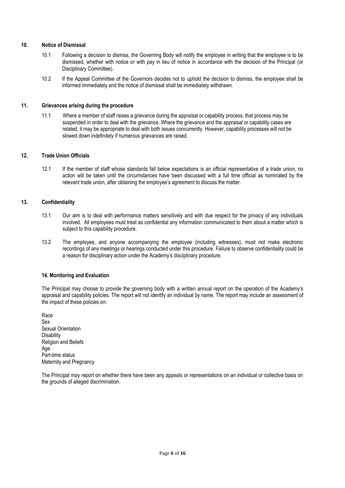### **10. Notice of Dismissal**

- 10.1 Following a decision to dismiss, the Governing Body will notify the employee in writing that the employee is to be dismissed, whether with notice or with pay in lieu of notice in accordance with the decision of the Principal (or Disciplinary Committee).
- 10.2 If the Appeal Committee of the Governors decides not to uphold the decision to dismiss, the employee shall be informed immediately and the notice of dismissal shall be immediately withdrawn.

### **11. Grievances arising during the procedure**

11.1 Where a member of staff raises a grievance during the appraisal or capability process, that process may be suspended in order to deal with the grievance. Where the grievance and the appraisal or capability cases are related, it may be appropriate to deal with both issues concurrently. However, capability processes will not be slowed down indefinitely if numerous grievances are raised.

### **12. Trade Union Officials**

12.1 If the member of staff whose standards fall below expectations is an official representative of a trade union, no action will be taken until the circumstances have been discussed with a full time official as nominated by the relevant trade union, after obtaining the employee's agreement to discuss the matter.

### **13. Confidentiality**

- 13.1 Our aim is to deal with performance matters sensitively and with due respect for the privacy of any individuals involved. All employees must treat as confidential any information communicated to them about a matter which is subject to this capability procedure.
- 13.2 The employee, and anyone accompanying the employee (including witnesses), must not make electronic recordings of any meetings or hearings conducted under this procedure. Failure to observe confidentiality could be a reason for disciplinary action under the Academy's disciplinary procedure.

### **14. Monitoring and Evaluation**

The Principal may choose to provide the governing body with a written annual report on the operation of the Academy's appraisal and capability policies. The report will not identify an individual by name. The report may include an assessment of the impact of these policies on:

Race Sex Sexual Orientation **Disability** Religion and Beliefs Age Part-time status Maternity and Pregnancy

The Principal may report on whether there have been any appeals or representations on an individual or collective basis on the grounds of alleged discrimination.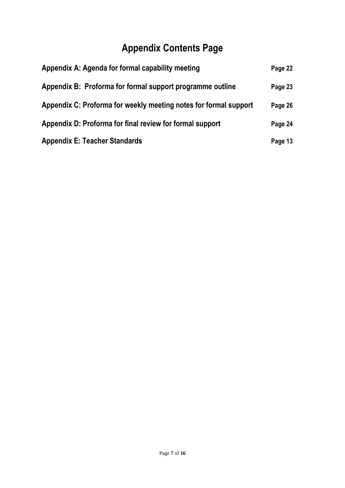# **Appendix Contents Page**

| Appendix A: Agenda for formal capability meeting                 | Page 22 |
|------------------------------------------------------------------|---------|
| Appendix B: Proforma for formal support programme outline        | Page 23 |
| Appendix C: Proforma for weekly meeting notes for formal support | Page 26 |
| Appendix D: Proforma for final review for formal support         | Page 24 |
| <b>Appendix E: Teacher Standards</b>                             | Page 13 |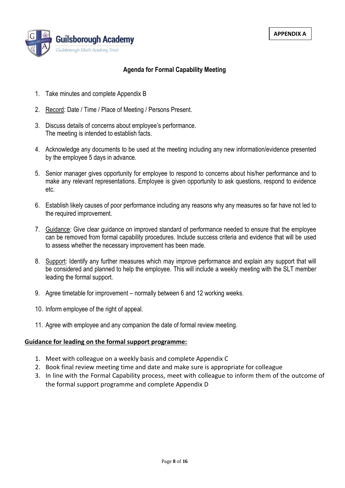

# **Agenda for Formal Capability Meeting**

- 1. Take minutes and complete Appendix B
- 2. Record: Date / Time / Place of Meeting / Persons Present.
- 3. Discuss details of concerns about employee's performance. The meeting is intended to establish facts.
- 4. Acknowledge any documents to be used at the meeting including any new information/evidence presented by the employee 5 days in advance.
- 5. Senior manager gives opportunity for employee to respond to concerns about his/her performance and to make any relevant representations. Employee is given opportunity to ask questions, respond to evidence etc.
- 6. Establish likely causes of poor performance including any reasons why any measures so far have not led to the required improvement.
- 7. Guidance: Give clear guidance on improved standard of performance needed to ensure that the employee can be removed from formal capability procedures. Include success criteria and evidence that will be used to assess whether the necessary improvement has been made.
- 8. Support: Identify any further measures which may improve performance and explain any support that will be considered and planned to help the employee. This will include a weekly meeting with the SLT member leading the formal support.
- 9. Agree timetable for improvement normally between 6 and 12 working weeks.
- 10. Inform employee of the right of appeal.
- 11. Agree with employee and any companion the date of formal review meeting.

# **Guidance for leading on the formal support programme:**

- 1. Meet with colleague on a weekly basis and complete Appendix C
- 2. Book final review meeting time and date and make sure is appropriate for colleague
- 3. In line with the Formal Capability process, meet with colleague to inform them of the outcome of the formal support programme and complete Appendix D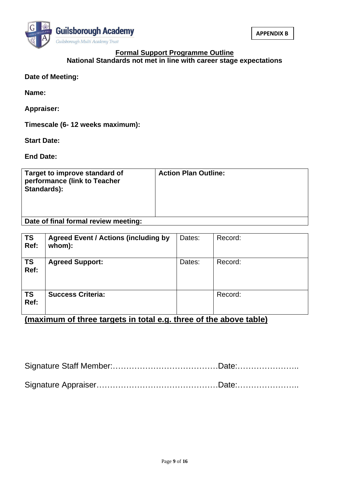

# **Formal Support Programme Outline National Standards not met in line with career stage expectations**

# **Date of Meeting:**

**Name:** 

**Appraiser:**

**Timescale (6- 12 weeks maximum):**

**Start Date:**

**End Date:**

| Target to improve standard of<br>performance (link to Teacher<br>Standards): | <b>Action Plan Outline:</b> |
|------------------------------------------------------------------------------|-----------------------------|
| Date of final formal review meeting:                                         |                             |

| <u>I Date of final formal review meeting:</u> |
|-----------------------------------------------|
|                                               |
|                                               |
|                                               |

| <b>TS</b><br>Ref: | <b>Agreed Event / Actions (including by</b><br>whom): | Dates: | Record: |
|-------------------|-------------------------------------------------------|--------|---------|
| <b>TS</b><br>Ref: | <b>Agreed Support:</b>                                | Dates: | Record: |
| <b>TS</b><br>Ref: | <b>Success Criteria:</b>                              |        | Record: |

**(maximum of three targets in total e.g. three of the above table)**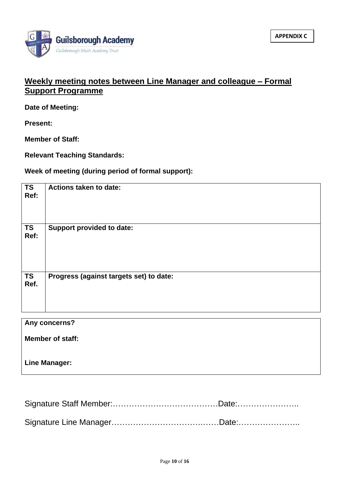

# **Weekly meeting notes between Line Manager and colleague – Formal Support Programme**

**Date of Meeting:**

**Present:**

**Member of Staff:**

**Relevant Teaching Standards:**

**Week of meeting (during period of formal support):**

| <b>TS</b><br>Ref: | <b>Actions taken to date:</b>           |
|-------------------|-----------------------------------------|
| <b>TS</b><br>Ref: | <b>Support provided to date:</b>        |
| <b>TS</b><br>Ref. | Progress (against targets set) to date: |
|                   | Any concerns?                           |
|                   |                                         |
|                   | <b>Member of staff:</b>                 |

**Line Manager:** 

Signature Staff Member:…………………………………Date:………………….. Signature Line Manager…………………………….……Date:…………………..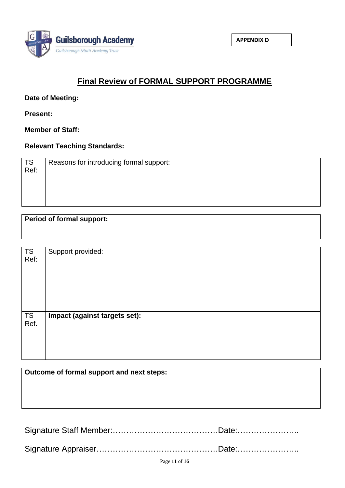

# **Final Review of FORMAL SUPPORT PROGRAMME**

**Date of Meeting:**

**Present:**

**Member of Staff:**

**Relevant Teaching Standards:**

| TS<br>$Ref$ : | Reasons for introducing formal support: |
|---------------|-----------------------------------------|
|               |                                         |

# **Period of formal support:**

| <b>TS</b><br>Ref: | Support provided:             |
|-------------------|-------------------------------|
| <b>TS</b><br>Ref. | Impact (against targets set): |

**Outcome of formal support and next steps:**

Signature Staff Member:…………………………………Date:………………….. Signature Appraiser………………………………………Date:…………………..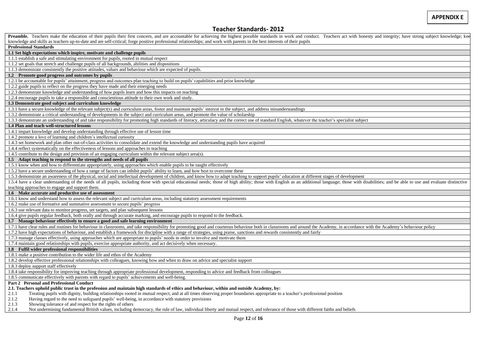# **Teacher Standards- 2012**

| Preamble. Teachers make the education of their pupils their first concern, and are accountable for achieving the highest possible standards in work and conduct. Teachers act with honesty and integrity; have strong subject  |
|--------------------------------------------------------------------------------------------------------------------------------------------------------------------------------------------------------------------------------|
| knowledge and skills as teachers up-to-date and are self-critical; forge positive professional relationships; and work with parents in the best interests of their pupils                                                      |
| <b>Professional Standards</b>                                                                                                                                                                                                  |
| 1.1 Set high expectations which inspire, motivate and challenge pupils                                                                                                                                                         |
| 1.1.1 establish a safe and stimulating environment for pupils, rooted in mutual respect                                                                                                                                        |
| 1.1.2 set goals that stretch and challenge pupils of all backgrounds, abilities and dispositions                                                                                                                               |
| 1.1.3 demonstrate consistently the positive attitudes, values and behaviour which are expected of pupils.                                                                                                                      |
| 1.2 Promote good progress and outcomes by pupils                                                                                                                                                                               |
| 1.2.1 be accountable for pupils' attainment, progress and outcomes plan teaching to build on pupils' capabilities and prior knowledge                                                                                          |
| 1.2.2 guide pupils to reflect on the progress they have made and their emerging needs                                                                                                                                          |
| 1.2.3 demonstrate knowledge and understanding of how pupils learn and how this impacts on teaching                                                                                                                             |
| 1.2.4 encourage pupils to take a responsible and conscientious attitude to their own work and study.                                                                                                                           |
| 1.3 Demonstrate good subject and curriculum knowledge                                                                                                                                                                          |
| 1.3.1 have a secure knowledge of the relevant subject(s) and curriculum areas, foster and maintain pupils' interest in the subject, and address misunderstandings                                                              |
| 1.3.2 demonstrate a critical understanding of developments in the subject and curriculum areas, and promote the value of scholarship                                                                                           |
| 1.3.3 demonstrate an understanding of and take responsibility for promoting high standards of literacy, articulacy and the correct use of standard English, whatever the teacher's specialist subject                          |
| 1.4 Plan and teach well-structured lessons                                                                                                                                                                                     |
| 1.4.1 impart knowledge and develop understanding through effective use of lesson time                                                                                                                                          |
| 1.4.2 promote a love of learning and children's intellectual curiosity                                                                                                                                                         |
| 1.4.3 set homework and plan other out-of-class activities to consolidate and extend the knowledge and understanding pupils have acquired                                                                                       |
| 1.4.4 reflect systematically on the effectiveness of lessons and approaches to teaching                                                                                                                                        |
| 1.4.5 contribute to the design and provision of an engaging curriculum within the relevant subject area(s).                                                                                                                    |
| 1.5 Adapt teaching to respond to the strengths and needs of all pupils                                                                                                                                                         |
| 1.5.1 know when and how to differentiate appropriately, using approaches which enable pupils to be taught effectively                                                                                                          |
| 1.5.2 have a secure understanding of how a range of factors can inhibit pupils' ability to learn, and how best to overcome these                                                                                               |
| 1.5.3 demonstrate an awareness of the physical, social and intellectual development of children, and know how to adapt teaching to support pupils' education at different stages of development                                |
| 1.5.4 have a clear understanding of the needs of all pupils, including those with special educational needs; those of high ability; those with English as an additional language; those with disabilities; and be able to use  |
| teaching approaches to engage and support them.                                                                                                                                                                                |
| 1.6 Make accurate and productive use of assessment                                                                                                                                                                             |
| 1.6.1 know and understand how to assess the relevant subject and curriculum areas, including statutory assessment requirements                                                                                                 |
| 1.6.2 make use of formative and summative assessment to secure pupils' progress                                                                                                                                                |
| 1.6.3 use relevant data to monitor progress, set targets, and plan subsequent lessons                                                                                                                                          |
|                                                                                                                                                                                                                                |
| 1.6.4 give pupils regular feedback, both orally and through accurate marking, and encourage pupils to respond to the feedback.<br>1.7 Manage behaviour effectively to ensure a good and safe learning environment              |
| 1.7.1 have clear rules and routines for behaviour in classrooms, and take responsibility for promoting good and courteous behaviour both in classrooms and around the Academy, in accordance with the Academy's behaviour poli |
|                                                                                                                                                                                                                                |
| 1.7.2 have high expectations of behaviour, and establish a framework for discipline with a range of strategies, using praise, sanctions and rewards consistently and fairly                                                    |
| 1.7.3 manage classes effectively, using approaches which are appropriate to pupils' needs in order to involve and motivate them                                                                                                |
| 1.7.4 maintain good relationships with pupils, exercise appropriate authority, and act decisively when necessary.                                                                                                              |
| 1.8 Fulfil wider professional responsibilities                                                                                                                                                                                 |
| 1.8.1 make a positive contribution to the wider life and ethos of the Academy                                                                                                                                                  |
| 1.8.2 develop effective professional relationships with colleagues, knowing how and when to draw on advice and specialist support                                                                                              |
| 1.8.3 deploy support staff effectively                                                                                                                                                                                         |
| 1.8.4 take responsibility for improving teaching through appropriate professional development, responding to advice and feedback from colleagues                                                                               |
| 1.8.5 communicate effectively with parents with regard to pupils' achievements and well-being.                                                                                                                                 |
| Part 2 Personal and Professional Conduct                                                                                                                                                                                       |
| 2.1. Teachers uphold public trust in the profession and maintain high standards of ethics and behaviour, within and outside Academy, by:                                                                                       |
| Treating pupils with dignity, building relationships rooted in mutual respect, and at all times observing proper boundaries appropriate to a teacher's professional position<br>2.1.1                                          |
| Having regard to the need to safeguard pupils' well-being, in accordance with statutory provisions<br>2.1.2                                                                                                                    |
| 2.1.3<br>Showing tolerance of and respect for the rights of others                                                                                                                                                             |
| Not undermining fundamental British values, including democracy, the rule of law, individual liberty and mutual respect, and tolerance of those with different faiths and beliefs<br>2.1.4                                     |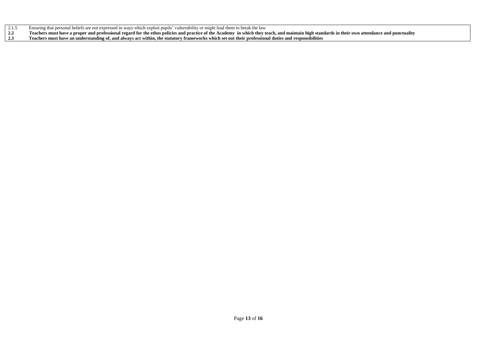- 
- 2.1.5 Ensuring that personal beliefs are not expressed in ways which exploit pupils' vulnerability or might lead them to break the law<br>2.2 Teachers must have a proper and professional regard for the ethos policies and prac **2.2 Teachers must have a proper and professional regard for the ethos policies and practice of the Academy in which they teach, and maintain high standards in their own attendance and punctuality**
- **2.3 Teachers must have an understanding of, and always act within, the statutory frameworks which set out their professional duties and responsibilities**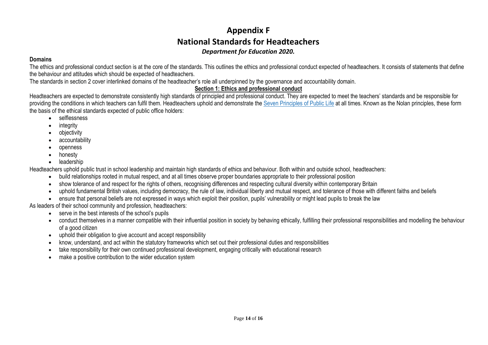# **Appendix F National Standards for Headteachers** *Department for Education 2020.*

## **Domains**

The ethics and professional conduct section is at the core of the standards. This outlines the ethics and professional conduct expected of headteachers. It consists of statements that define the behaviour and attitudes which should be expected of headteachers.

The standards in section 2 cover interlinked domains of the headteacher's role all underpinned by the governance and accountability domain.

# **Section 1: Ethics and professional conduct**

Headteachers are expected to demonstrate consistently high standards of principled and professional conduct. They are expected to meet the teachers' standards and be responsible for providing the conditions in which teachers can fulfil them. Headteachers uphold and demonstrate the Seven [Principles](https://www.gov.uk/government/publications/the-7-principles-of-public-life) of Public Life at all times. Known as the Nolan principles, these form the basis of the ethical standards expected of public office holders:

- selflessness
- integrity
- objectivity
- accountability
- openness
- honesty
- leadership

Headteachers uphold public trust in school leadership and maintain high standards of ethics and behaviour. Both within and outside school, headteachers:

- build relationships rooted in mutual respect, and at all times observe proper boundaries appropriate to their professional position
- show tolerance of and respect for the rights of others, recognising differences and respecting cultural diversity within contemporary Britain
- uphold fundamental British values, including democracy, the rule of law, individual liberty and mutual respect, and tolerance of those with different faiths and beliefs
- ensure that personal beliefs are not expressed in ways which exploit their position, pupils' vulnerability or might lead pupils to break the law

As leaders of their school community and profession, headteachers:

- serve in the best interests of the school's pupils
- conduct themselves in a manner compatible with their influential position in society by behaving ethically, fulfilling their professional responsibilities and modelling the behaviour of a good citizen
- uphold their obligation to give account and accept responsibility
- know, understand, and act within the statutory frameworks which set out their professional duties and responsibilities
- take responsibility for their own continued professional development, engaging critically with educational research
- make a positive contribution to the wider education system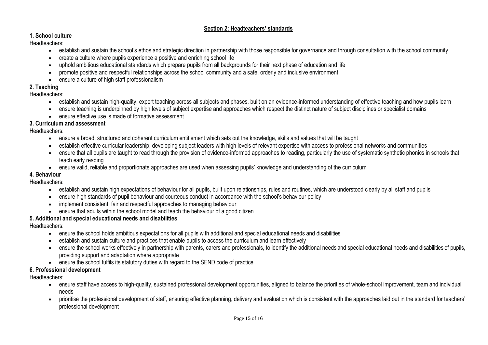# **Section 2: Headteachers' standards**

# **1. School culture**

Headteachers:

- establish and sustain the school's ethos and strategic direction in partnership with those responsible for governance and through consultation with the school community
- create a culture where pupils experience a positive and enriching school life
- uphold ambitious educational standards which prepare pupils from all backgrounds for their next phase of education and life
- promote positive and respectful relationships across the school community and a safe, orderly and inclusive environment
- ensure a culture of high staff professionalism

# **2. Teaching**

# Headteachers:

- establish and sustain high-quality, expert teaching across all subjects and phases, built on an evidence-informed understanding of effective teaching and how pupils learn
- ensure teaching is underpinned by high levels of subject expertise and approaches which respect the distinct nature of subject disciplines or specialist domains
- ensure effective use is made of formative assessment

# **3. Curriculum and assessment**

Headteachers:

- ensure a broad, structured and coherent curriculum entitlement which sets out the knowledge, skills and values that will be taught
- establish effective curricular leadership, developing subject leaders with high levels of relevant expertise with access to professional networks and communities
- ensure that all pupils are taught to read through the provision of evidence-informed approaches to reading, particularly the use of systematic synthetic phonics in schools that teach early reading
- ensure valid, reliable and proportionate approaches are used when assessing pupils' knowledge and understanding of the curriculum

# **4. Behaviour**

# Headteachers:

- establish and sustain high expectations of behaviour for all pupils, built upon relationships, rules and routines, which are understood clearly by all staff and pupils
- ensure high standards of pupil behaviour and courteous conduct in accordance with the school's behaviour policy
- implement consistent, fair and respectful approaches to managing behaviour
- ensure that adults within the school model and teach the behaviour of a good citizen

# **5. Additional and special educational needs and disabilities**

Headteachers:

- ensure the school holds ambitious expectations for all pupils with additional and special educational needs and disabilities
- establish and sustain culture and practices that enable pupils to access the curriculum and learn effectively
- ensure the school works effectively in partnership with parents, carers and professionals, to identify the additional needs and special educational needs and disabilities of pupils, providing support and adaptation where appropriate
- ensure the school fulfils its statutory duties with regard to the SEND code of practice

# **6. Professional development**

Headteachers:

- ensure staff have access to high-quality, sustained professional development opportunities, aligned to balance the priorities of whole-school improvement, team and individual needs
- prioritise the professional development of staff, ensuring effective planning, delivery and evaluation which is consistent with the approaches laid out in the standard for teachers' professional development